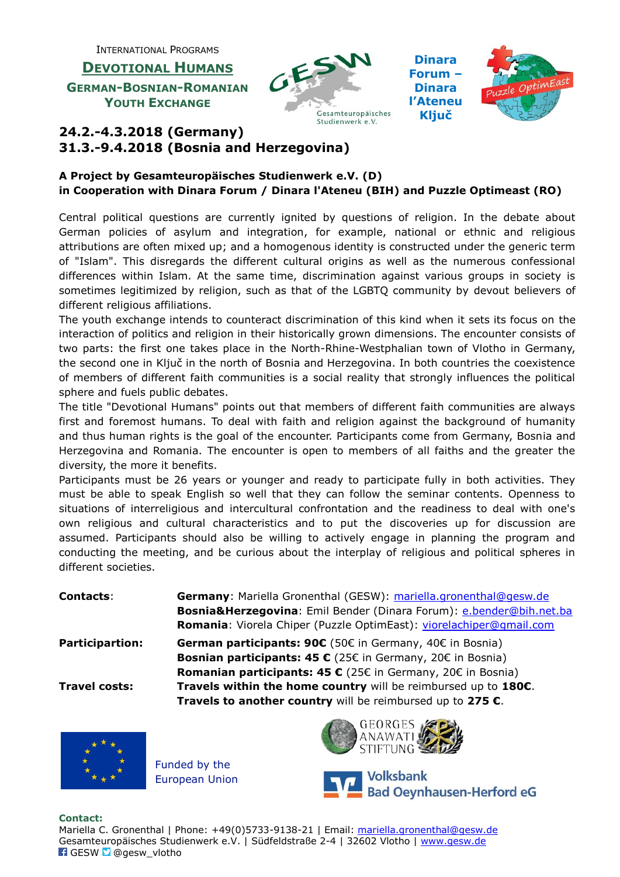INTERNATIONAL PROGRAMS

**DEVOTIONAL HUMANS GERMAN-BOSNIAN-ROMANIAN YOUTH EXCHANGE**



**Dinara Forum – Dinara l'Ateneu Ključ**



## **24.2.-4.3.2018 (Germany) 31.3.-9.4.2018 (Bosnia and Herzegovina)**

## **A Project by Gesamteuropäisches Studienwerk e.V. (D) in Cooperation with Dinara Forum / Dinara l'Ateneu (BIH) and Puzzle Optimeast (RO)**

Central political questions are currently ignited by questions of religion. In the debate about German policies of asylum and integration, for example, national or ethnic and religious attributions are often mixed up; and a homogenous identity is constructed under the generic term of "Islam". This disregards the different cultural origins as well as the numerous confessional differences within Islam. At the same time, discrimination against various groups in society is sometimes legitimized by religion, such as that of the LGBTQ community by devout believers of different religious affiliations.

The youth exchange intends to counteract discrimination of this kind when it sets its focus on the interaction of politics and religion in their historically grown dimensions. The encounter consists of two parts: the first one takes place in the North-Rhine-Westphalian town of Vlotho in Germany, the second one in Ključ in the north of Bosnia and Herzegovina. In both countries the coexistence of members of different faith communities is a social reality that strongly influences the political sphere and fuels public debates.

The title "Devotional Humans" points out that members of different faith communities are always first and foremost humans. To deal with faith and religion against the background of humanity and thus human rights is the goal of the encounter. Participants come from Germany, Bosnia and Herzegovina and Romania. The encounter is open to members of all faiths and the greater the diversity, the more it benefits.

Participants must be 26 years or younger and ready to participate fully in both activities. They must be able to speak English so well that they can follow the seminar contents. Openness to situations of interreligious and intercultural confrontation and the readiness to deal with one's own religious and cultural characteristics and to put the discoveries up for discussion are assumed. Participants should also be willing to actively engage in planning the program and conducting the meeting, and be curious about the interplay of religious and political spheres in different societies.

**Contacts**: **Germany**: Mariella Gronenthal (GESW): [mariella.gronenthal@gesw.de](mailto:mariella.gronenthal@gesw.de) **Bosnia&Herzegovina**: Emil Bender (Dinara Forum): [e.bender@bih.net.ba](mailto:e.bender@bih.net.ba) Romania: Viorela Chiper (Puzzle OptimEast): [viorelachiper@gmail.com](mailto:viorelachiper@gmail.com) **Participartion: German participants: 90€** (50€ in Germany, 40€ in Bosnia) **Bosnian participants: 45 €** (25€ in Germany, 20€ in Bosnia) **Romanian participants: 45 €** (25€ in Germany, 20€ in Bosnia) **Travel costs: Travels within the home country** will be reimbursed up to **180€**. **Travels to another country** will be reimbursed up to **275 €**.



Funded by the European Union





## **Contact:**

Mariella C. Gronenthal | Phone: +49(0)5733-9138-21 | Email: [mariella.gronenthal@gesw.de](mailto:mariella.gronenthal@gesw.de) Gesamteuropäisches Studienwerk e.V. | Südfeldstraße 2-4 | 32602 Vlotho | [www.gesw.de](http://www.gesw.de/) **F** GESW **D** @gesw\_vlotho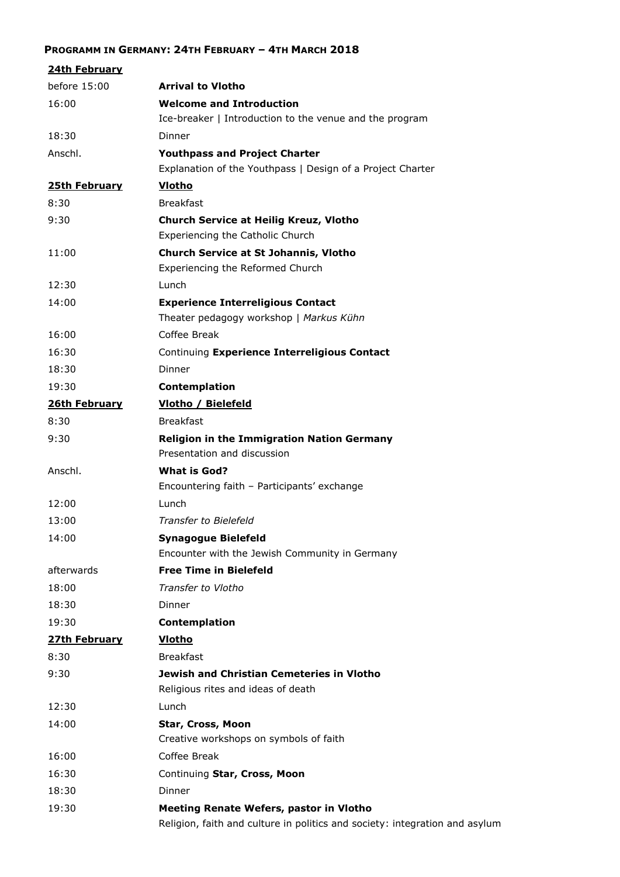## **PROGRAMM IN GERMANY: 24TH FEBRUARY – 4TH MARCH 2018**

| 24th February |                                                                                                                        |
|---------------|------------------------------------------------------------------------------------------------------------------------|
| before 15:00  | <b>Arrival to Vlotho</b>                                                                                               |
| 16:00         | <b>Welcome and Introduction</b>                                                                                        |
|               | Ice-breaker   Introduction to the venue and the program                                                                |
| 18:30         | Dinner                                                                                                                 |
| Anschl.       | <b>Youthpass and Project Charter</b>                                                                                   |
|               | Explanation of the Youthpass   Design of a Project Charter                                                             |
| 25th February | <b>Vlotho</b>                                                                                                          |
| 8:30          | <b>Breakfast</b>                                                                                                       |
| 9:30          | <b>Church Service at Heilig Kreuz, Vlotho</b>                                                                          |
|               | Experiencing the Catholic Church                                                                                       |
| 11:00         | <b>Church Service at St Johannis, Vlotho</b>                                                                           |
|               | Experiencing the Reformed Church                                                                                       |
| 12:30         | Lunch                                                                                                                  |
| 14:00         | <b>Experience Interreligious Contact</b>                                                                               |
|               | Theater pedagogy workshop   Markus Kühn                                                                                |
| 16:00         | Coffee Break                                                                                                           |
| 16:30         | Continuing Experience Interreligious Contact                                                                           |
| 18:30         | Dinner                                                                                                                 |
| 19:30         | Contemplation                                                                                                          |
| 26th February | <b>Vlotho / Bielefeld</b>                                                                                              |
| 8:30          | <b>Breakfast</b>                                                                                                       |
| 9:30          | <b>Religion in the Immigration Nation Germany</b><br>Presentation and discussion                                       |
| Anschl.       | What is God?                                                                                                           |
|               | Encountering faith - Participants' exchange                                                                            |
| 12:00         | Lunch                                                                                                                  |
| 13:00         | <b>Transfer to Bielefeld</b>                                                                                           |
| 14:00         | <b>Synagogue Bielefeld</b>                                                                                             |
|               | Encounter with the Jewish Community in Germany                                                                         |
| afterwards    | <b>Free Time in Bielefeld</b>                                                                                          |
| 18:00         | Transfer to Vlotho                                                                                                     |
| 18:30         | Dinner                                                                                                                 |
| 19:30         | Contemplation                                                                                                          |
| 27th February | <b>Vlotho</b>                                                                                                          |
| 8:30          | <b>Breakfast</b>                                                                                                       |
| 9:30          | <b>Jewish and Christian Cemeteries in Vlotho</b><br>Religious rites and ideas of death                                 |
| 12:30         | Lunch                                                                                                                  |
| 14:00         | Star, Cross, Moon                                                                                                      |
|               | Creative workshops on symbols of faith                                                                                 |
| 16:00         | Coffee Break                                                                                                           |
| 16:30         | Continuing Star, Cross, Moon                                                                                           |
| 18:30         | Dinner                                                                                                                 |
| 19:30         | Meeting Renate Wefers, pastor in Vlotho<br>Religion, faith and culture in politics and society: integration and asylum |